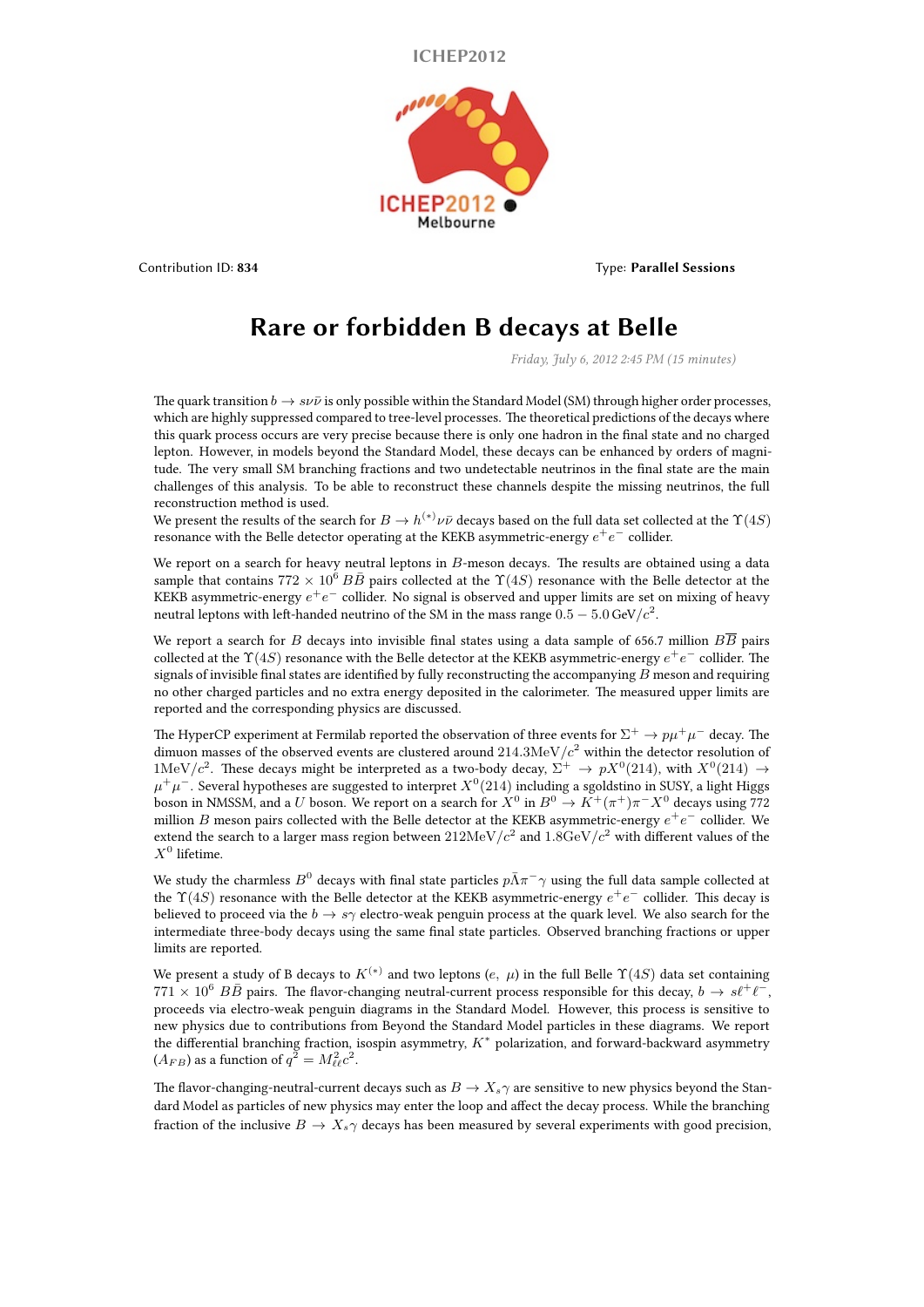**ICHEP2012**



Contribution ID: **834** Type: **Parallel Sessions**

## **Rare or forbidden B decays at Belle**

*Friday, July 6, 2012 2:45 PM (15 minutes)*

The quark transition  $b \to s \nu \bar{\nu}$  is only possible within the Standard Model (SM) through higher order processes, which are highly suppressed compared to tree-level processes. The theoretical predictions of the decays where this quark process occurs are very precise because there is only one hadron in the final state and no charged lepton. However, in models beyond the Standard Model, these decays can be enhanced by orders of magnitude. The very small SM branching fractions and two undetectable neutrinos in the final state are the main challenges of this analysis. To be able to reconstruct these channels despite the missing neutrinos, the full reconstruction method is used.

We present the results of the search for  $B\to h^{(*)}\nu\bar\nu$  decays based on the full data set collected at the  $\Upsilon(4S)$ resonance with the Belle detector operating at the KEKB asymmetric-energy *e* +*e <sup>−</sup>* collider.

We report on a search for heavy neutral leptons in *B*-meson decays. The results are obtained using a data sample that contains  $772 \times 10^6$   $B\overline{B}$  pairs collected at the  $\Upsilon(4S)$  resonance with the Belle detector at the KEKB asymmetric-energy *e* +*e <sup>−</sup>* collider. No signal is observed and upper limits are set on mixing of heavy neutral leptons with left-handed neutrino of the SM in the mass range  $0.5 - 5.0$  GeV/ $c^2$ .

We report a search for *B* decays into invisible final states using a data sample of 656.7 million *BB* pairs collected at the  $\Upsilon(4S)$  resonance with the Belle detector at the KEKB asymmetric-energy  $e^+e^-$  collider. The signals of invisible final states are identified by fully reconstructing the accompanying *B* meson and requiring no other charged particles and no extra energy deposited in the calorimeter. The measured upper limits are reported and the corresponding physics are discussed.

The HyperCP experiment at Fermilab reported the observation of three events for  $\Sigma^+ \to p\mu^+\mu^-$  decay. The dimuon masses of the observed events are clustered around  $214.3 \mathrm{MeV}/c^{2}$  within the detector resolution of 1MeV/ $c^2$ . These decays might be interpreted as a two-body decay,  $\Sigma^+ \to pX^0(214)$ , with  $X^0(214) \to$ *µ* <sup>+</sup>*µ <sup>−</sup>*. Several hypotheses are suggested to interpret *X* 0 (214) including a sgoldstino in SUSY, a light Higgs boson in NMSSM, and a *U* boson. We report on a search for  $X^0$  in  $B^0 \to K^+ (\pi^+) \pi^- X^0$  decays using 772 million  $B$  meson pairs collected with the Belle detector at the KEKB asymmetric-energy  $e^+e^-$  collider. We extend the search to a larger mass region between  $212 \text{MeV}/c^2$  and  $1.8 \text{GeV}/c^2$  with different values of the  $X^0$  lifetime.

We study the charmless  $B^0$  decays with final state particles  $p\bar{\Lambda}\pi^-\gamma$  using the full data sample collected at the Υ(4*S*) resonance with the Belle detector at the KEKB asymmetric-energy *e* +*e <sup>−</sup>* collider. This decay is believed to proceed via the *b → sγ* electro-weak penguin process at the quark level. We also search for the intermediate three-body decays using the same final state particles. Observed branching fractions or upper limits are reported.

We present a study of B decays to  $K^{(*)}$  and two leptons (*e, µ*) in the full Belle  $\Upsilon(4S)$  data set containing  $771 \times 10^6$  *BB* pairs. The flavor-changing neutral-current process responsible for this decay,  $b \to s\ell^+\ell^-$ , proceeds via electro-weak penguin diagrams in the Standard Model. However, this process is sensitive to new physics due to contributions from Beyond the Standard Model particles in these diagrams. We report the differential branching fraction, isospin asymmetry, *K<sup>∗</sup>* polarization, and forward-backward asymmetry  $(A_{FB})$  as a function of  $q^2 = M_{\ell\ell}^2 c^2$ .

The flavor-changing-neutral-current decays such as  $B \to X_s \gamma$  are sensitive to new physics beyond the Standard Model as particles of new physics may enter the loop and affect the decay process. While the branching fraction of the inclusive  $B \to X_s \gamma$  decays has been measured by several experiments with good precision,